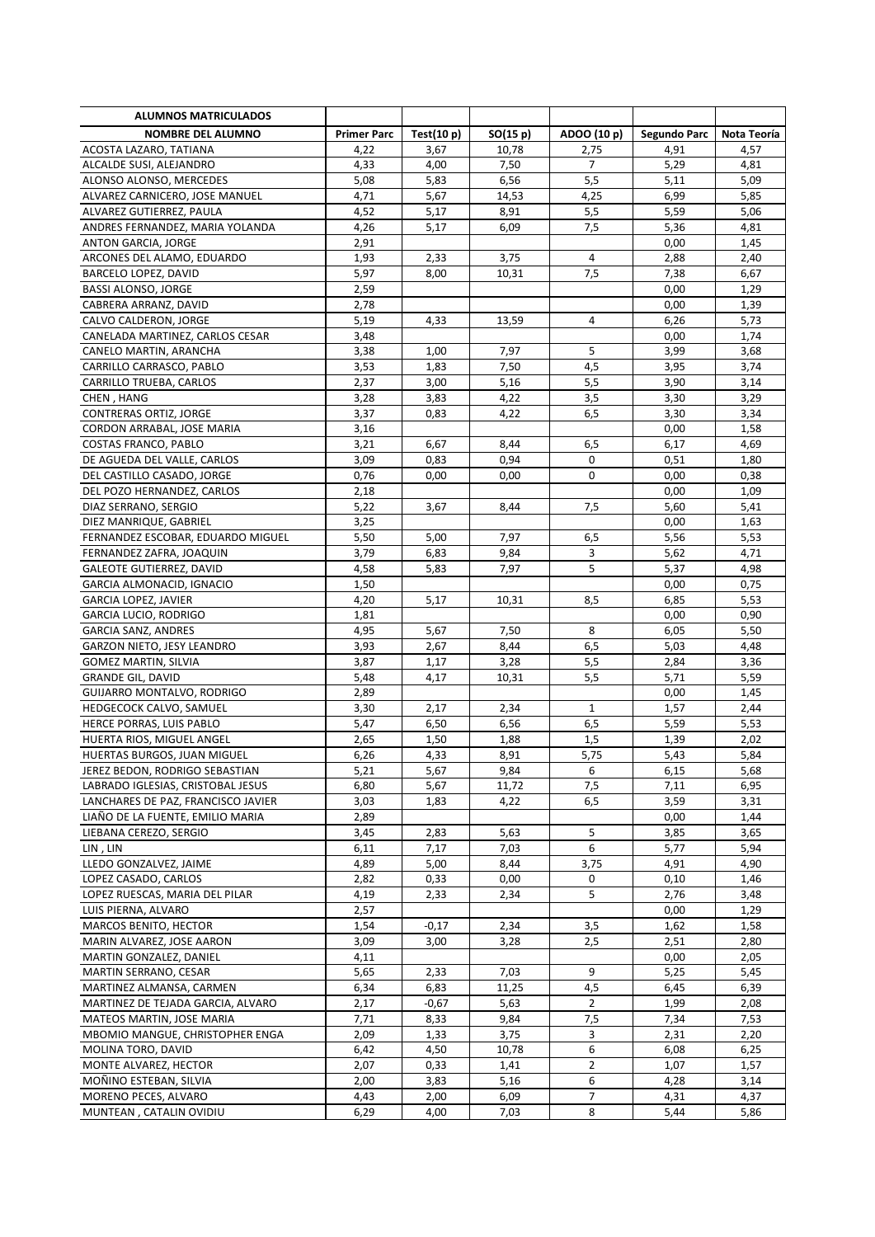| <b>ALUMNOS MATRICULADOS</b>                               |                    |              |              |                |              |              |
|-----------------------------------------------------------|--------------------|--------------|--------------|----------------|--------------|--------------|
| <b>NOMBRE DEL ALUMNO</b>                                  | <b>Primer Parc</b> | Test(10 p)   | SO(15 p)     | ADOO (10 p)    | Segundo Parc | Nota Teoría  |
| ACOSTA LAZARO, TATIANA                                    | 4,22               | 3,67         | 10,78        | 2,75           | 4,91         | 4,57         |
| ALCALDE SUSI, ALEJANDRO                                   | 4,33               | 4,00         | 7,50         | $\overline{7}$ | 5,29         | 4,81         |
| ALONSO ALONSO, MERCEDES                                   | 5,08               | 5,83         | 6,56         | 5,5            | 5,11         | 5,09         |
| ALVAREZ CARNICERO, JOSE MANUEL                            | 4,71               | 5,67         | 14,53        | 4,25           | 6,99         | 5,85         |
| ALVAREZ GUTIERREZ, PAULA                                  | 4,52               | 5,17         | 8,91         | 5,5            | 5,59         | 5,06         |
| ANDRES FERNANDEZ, MARIA YOLANDA                           | 4,26               | 5,17         | 6,09         | 7,5            | 5,36         | 4,81         |
| ANTON GARCIA, JORGE                                       | 2,91               |              |              |                | 0,00         | 1,45         |
| ARCONES DEL ALAMO, EDUARDO                                | 1,93               | 2,33         | 3,75         | 4              | 2,88         | 2,40         |
| BARCELO LOPEZ, DAVID                                      | 5,97               | 8,00         | 10,31        | 7,5            | 7,38         | 6,67         |
| <b>BASSI ALONSO, JORGE</b>                                | 2,59               |              |              |                | 0,00         | 1,29         |
| CABRERA ARRANZ, DAVID                                     | 2,78               |              |              |                | 0,00         | 1,39         |
| CALVO CALDERON, JORGE                                     | 5,19               | 4,33         | 13,59        | 4              | 6,26         | 5,73         |
| CANELADA MARTINEZ, CARLOS CESAR                           | 3,48               |              |              |                | 0,00         | 1,74         |
| CANELO MARTIN, ARANCHA                                    | 3,38               | 1,00         | 7,97         | 5              | 3,99         | 3,68         |
| CARRILLO CARRASCO, PABLO                                  | 3,53               | 1,83         | 7,50         | 4,5            | 3,95         | 3,74         |
| CARRILLO TRUEBA, CARLOS                                   | 2,37               | 3,00         | 5,16         | 5,5            | 3,90         | 3,14         |
| CHEN, HANG                                                | 3,28               | 3,83         | 4,22         | 3,5            | 3,30         | 3,29         |
| CONTRERAS ORTIZ, JORGE                                    | 3,37               | 0,83         | 4,22         | 6,5            | 3,30         | 3,34         |
| CORDON ARRABAL, JOSE MARIA                                | 3,16               |              |              |                | 0,00         | 1,58         |
| COSTAS FRANCO, PABLO                                      | 3,21               | 6,67         | 8,44         | 6,5            | 6,17         | 4,69         |
| DE AGUEDA DEL VALLE, CARLOS                               | 3,09               | 0,83         | 0,94         | 0              | 0,51         | 1,80         |
| DEL CASTILLO CASADO, JORGE                                | 0,76               | 0,00         | 0,00         | 0              | 0,00         | 0,38         |
| DEL POZO HERNANDEZ, CARLOS                                | 2,18               |              |              |                | 0,00         | 1,09         |
| DIAZ SERRANO, SERGIO                                      | 5,22               | 3,67         | 8,44         | 7,5            | 5,60         | 5,41         |
| DIEZ MANRIQUE, GABRIEL                                    | 3,25               |              |              |                | 0,00         | 1,63         |
| FERNANDEZ ESCOBAR, EDUARDO MIGUEL                         | 5,50               | 5,00         | 7,97         | 6,5            | 5,56         | 5,53         |
| FERNANDEZ ZAFRA, JOAQUIN                                  | 3,79               | 6,83         | 9,84         | 3              | 5,62         | 4,71         |
| <b>GALEOTE GUTIERREZ, DAVID</b>                           | 4,58               | 5,83         | 7,97         | 5              | 5,37         | 4,98         |
| GARCIA ALMONACID, IGNACIO                                 | 1,50               |              |              |                | 0,00         | 0,75         |
| GARCIA LOPEZ, JAVIER                                      | 4,20               | 5,17         | 10,31        | 8,5            | 6,85         | 5,53         |
| <b>GARCIA LUCIO, RODRIGO</b>                              | 1,81               |              |              |                | 0,00         | 0,90         |
| <b>GARCIA SANZ, ANDRES</b>                                | 4,95               | 5,67         | 7,50         | 8              | 6,05         | 5,50         |
| GARZON NIETO, JESY LEANDRO<br><b>GOMEZ MARTIN, SILVIA</b> | 3,93<br>3,87       | 2,67<br>1,17 | 8,44<br>3,28 | 6,5<br>5,5     | 5,03<br>2,84 | 4,48<br>3,36 |
| <b>GRANDE GIL, DAVID</b>                                  | 5,48               | 4,17         | 10,31        | 5,5            | 5,71         | 5,59         |
| GUIJARRO MONTALVO, RODRIGO                                | 2,89               |              |              |                | 0,00         | 1,45         |
| HEDGECOCK CALVO, SAMUEL                                   | 3,30               | 2,17         | 2,34         | 1              | 1,57         | 2,44         |
| HERCE PORRAS, LUIS PABLO                                  | 5,47               | 6,50         | 6,56         | 6,5            | 5,59         | 5,53         |
| HUERTA RIOS, MIGUEL ANGEL                                 | 2,65               | 1,50         | 1,88         | 1,5            | 1,39         | 2,02         |
| HUERTAS BURGOS, JUAN MIGUEL                               | 6,26               | 4,33         | 8,91         | 5,75           | 5,43         | 5,84         |
| JEREZ BEDON, RODRIGO SEBASTIAN                            | 5,21               | 5,67         | 9,84         | 6              | 6,15         | 5,68         |
| LABRADO IGLESIAS, CRISTOBAL JESUS                         | 6,80               | 5,67         | 11,72        | 7,5            | 7,11         | 6,95         |
| LANCHARES DE PAZ, FRANCISCO JAVIER                        | 3,03               | 1,83         | 4,22         | 6,5            | 3,59         | 3,31         |
| LIAÑO DE LA FUENTE, EMILIO MARIA                          | 2,89               |              |              |                | 0,00         | 1,44         |
| LIEBANA CEREZO, SERGIO                                    | 3,45               | 2,83         | 5,63         | 5              | 3,85         | 3,65         |
| LIN, LIN                                                  | 6,11               | 7,17         | 7,03         | 6              | 5,77         | 5,94         |
| LLEDO GONZALVEZ, JAIME                                    | 4,89               | 5,00         | 8,44         | 3,75           | 4,91         | 4,90         |
| LOPEZ CASADO, CARLOS                                      | 2,82               | 0,33         | 0,00         | 0              | 0,10         | 1,46         |
| LOPEZ RUESCAS, MARIA DEL PILAR                            | 4,19               | 2,33         | 2,34         | 5              | 2,76         | 3,48         |
| LUIS PIERNA, ALVARO                                       | 2,57               |              |              |                | 0,00         | 1,29         |
| MARCOS BENITO, HECTOR                                     | 1,54               | -0,17        | 2,34         | 3,5            | 1,62         | 1,58         |
| MARIN ALVAREZ, JOSE AARON                                 | 3,09               | 3,00         | 3,28         | 2,5            | 2,51         | 2,80         |
| MARTIN GONZALEZ, DANIEL                                   | 4,11               |              |              |                | 0,00         | 2,05         |
| MARTIN SERRANO, CESAR                                     | 5,65               | 2,33         | 7,03         | 9              | 5,25         | 5,45         |
| MARTINEZ ALMANSA, CARMEN                                  | 6,34               | 6,83         | 11,25        | 4,5            | 6,45         | 6,39         |
| MARTINEZ DE TEJADA GARCIA, ALVARO                         | 2,17               | -0,67        | 5,63         | $\overline{2}$ | 1,99         | 2,08         |
| MATEOS MARTIN, JOSE MARIA                                 | 7,71               | 8,33         | 9,84         | 7,5            | 7,34         | 7,53         |
| MBOMIO MANGUE, CHRISTOPHER ENGA                           | 2,09               | 1,33         | 3,75         | 3              | 2,31         | 2,20         |
| MOLINA TORO, DAVID                                        | 6,42               | 4,50         | 10,78        | 6              | 6,08         | 6,25         |
| MONTE ALVAREZ, HECTOR                                     | 2,07               | 0,33         | 1,41         | $\overline{2}$ | 1,07         | 1,57         |
| MOÑINO ESTEBAN, SILVIA                                    | 2,00               | 3,83         | 5,16         | 6              | 4,28         | 3,14         |
| MORENO PECES, ALVARO                                      | 4,43               | 2,00         | 6,09         | 7              | 4,31         | 4,37         |
| MUNTEAN, CATALIN OVIDIU                                   | 6,29               | 4,00         | 7,03         | 8              | 5,44         | 5,86         |